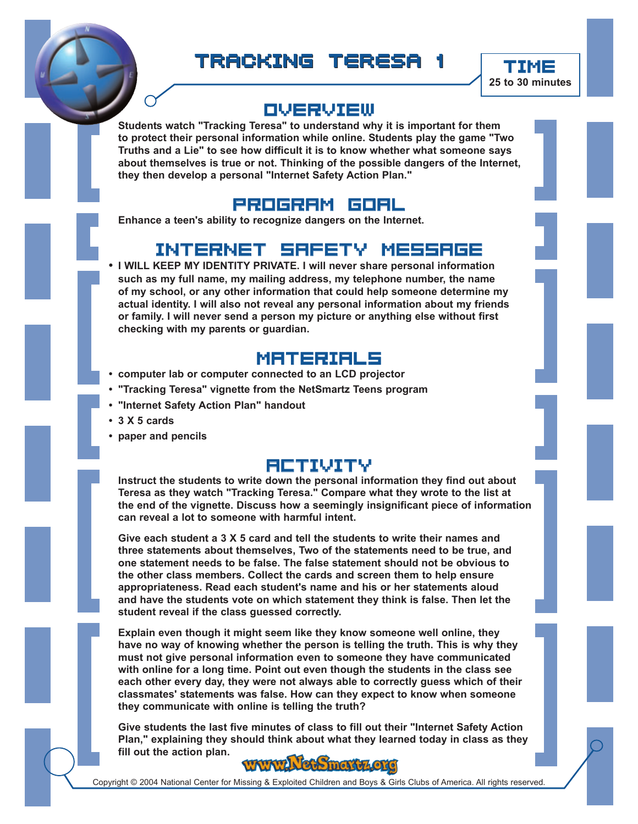



**25 to 30 minutes**

## Overview

**Students watch "Tracking Teresa" to understand why it is important for them to protect their personal information while online. Students play the game "Two Truths and a Lie" to see how difficult it is to know whether what someone says about themselves is true or not. Thinking of the possible dangers of the Internet, they then develop a personal "Internet Safety Action Plan."**



**Enhance a teen's ability to recognize dangers on the Internet.**

## Internet Safety Message

**• I WILL KEEP MY IDENTITY PRIVATE. I will never share personal information such as my full name, my mailing address, my telephone number, the name of my school, or any other information that could help someone determine my actual identity. I will also not reveal any personal information about my friends or family. I will never send a person my picture or anything else without first checking with my parents or guardian.**

## MATERIALS

- **computer lab or computer connected to an LCD projector**
- **"Tracking Teresa" vignette from the NetSmartz Teens program**
- **"Internet Safety Action Plan" handout**
- **3 X 5 cards**
- **paper and pencils**

## Activity

**Instruct the students to write down the personal information they find out about Teresa as they watch "Tracking Teresa." Compare what they wrote to the list at the end of the vignette. Discuss how a seemingly insignificant piece of information can reveal a lot to someone with harmful intent.**

**Give each student a 3 X 5 card and tell the students to write their names and three statements about themselves, Two of the statements need to be true, and one statement needs to be false. The false statement should not be obvious to the other class members. Collect the cards and screen them to help ensure appropriateness. Read each student's name and his or her statements aloud and have the students vote on which statement they think is false. Then let the student reveal if the class guessed correctly.**

**Explain even though it might seem like they know someone well online, they have no way of knowing whether the person is telling the truth. This is why they must not give personal information even to someone they have communicated with online for a long time. Point out even though the students in the class see each other every day, they were not always able to correctly guess which of their classmates' statements was false. How can they expect to know when someone they communicate with online is telling the truth?**

**Give students the last five minutes of class to fill out their "Internet Safety Action Plan," explaining they should think about what they learned today in class as they fill out the action plan.**



Copyright © 2004 National Center for Missing & Exploited Children and Boys & Girls Clubs of America. All rights reserved.